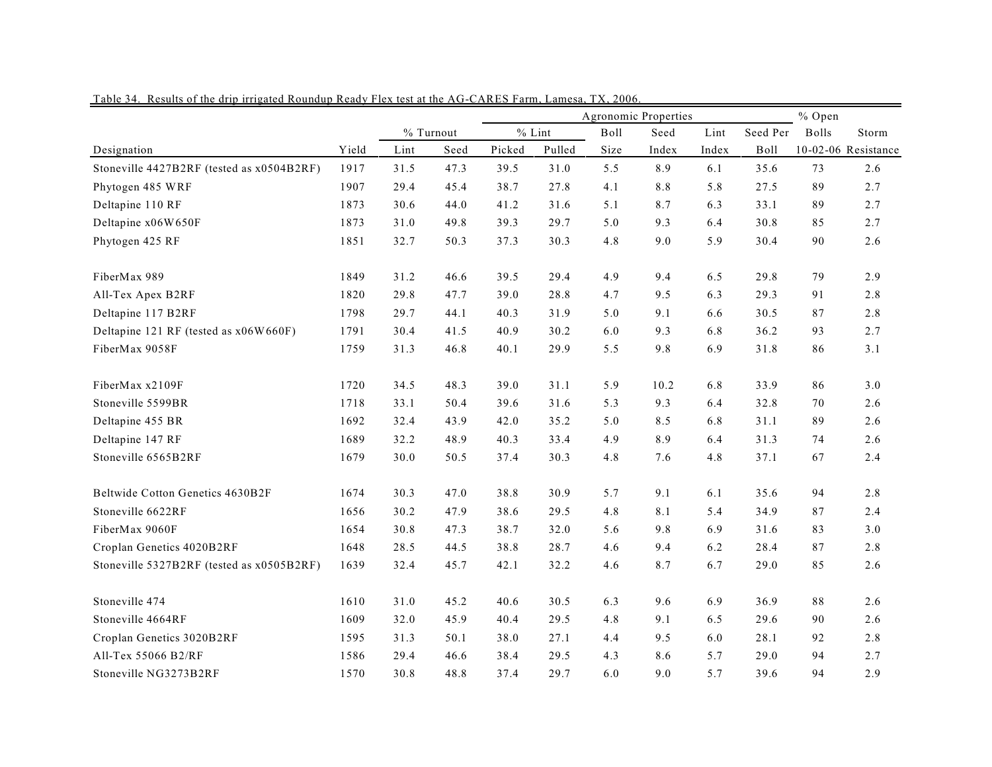|                                           |       |           |      |          | Agronomic Properties | % Open |       |       |             |              |                     |
|-------------------------------------------|-------|-----------|------|----------|----------------------|--------|-------|-------|-------------|--------------|---------------------|
|                                           |       | % Turnout |      | $%$ Lint |                      | Boll   | Seed  | Lint  | Seed Per    | <b>Bolls</b> | Storm               |
| Designation                               | Yield | Lint      | Seed | Picked   | Pulled               | Size   | Index | Index | <b>Boll</b> |              | 10-02-06 Resistance |
| Stoneville 4427B2RF (tested as x0504B2RF) | 1917  | 31.5      | 47.3 | 39.5     | 31.0                 | 5.5    | 8.9   | 6.1   | 35.6        | 73           | 2.6                 |
| Phytogen 485 WRF                          | 1907  | 29.4      | 45.4 | 38.7     | 27.8                 | 4.1    | 8.8   | 5.8   | 27.5        | 89           | 2.7                 |
| Deltapine 110 RF                          | 1873  | 30.6      | 44.0 | 41.2     | 31.6                 | 5.1    | 8.7   | 6.3   | 33.1        | 89           | 2.7                 |
| Deltapine x06W650F                        | 1873  | 31.0      | 49.8 | 39.3     | 29.7                 | 5.0    | 9.3   | 6.4   | 30.8        | 85           | 2.7                 |
| Phytogen 425 RF                           | 1851  | 32.7      | 50.3 | 37.3     | 30.3                 | 4.8    | 9.0   | 5.9   | 30.4        | 90           | 2.6                 |
| FiberMax 989                              | 1849  | 31.2      | 46.6 | 39.5     | 29.4                 | 4.9    | 9.4   | 6.5   | 29.8        | 79           | 2.9                 |
| All-Tex Apex B2RF                         | 1820  | 29.8      | 47.7 | 39.0     | 28.8                 | 4.7    | 9.5   | 6.3   | 29.3        | 91           | 2.8                 |
| Deltapine 117 B2RF                        | 1798  | 29.7      | 44.1 | 40.3     | 31.9                 | 5.0    | 9.1   | 6.6   | 30.5        | 87           | 2.8                 |
| Deltapine 121 RF (tested as x06W660F)     | 1791  | 30.4      | 41.5 | 40.9     | 30.2                 | 6.0    | 9.3   | 6.8   | 36.2        | 93           | 2.7                 |
| FiberMax 9058F                            | 1759  | 31.3      | 46.8 | 40.1     | 29.9                 | 5.5    | 9.8   | 6.9   | 31.8        | 86           | 3.1                 |
| FiberMax x2109F                           | 1720  | 34.5      | 48.3 | 39.0     | 31.1                 | 5.9    | 10.2  | 6.8   | 33.9        | 86           | 3.0                 |
| Stoneville 5599BR                         | 1718  | 33.1      | 50.4 | 39.6     | 31.6                 | 5.3    | 9.3   | 6.4   | 32.8        | 70           | 2.6                 |
| Deltapine 455 BR                          | 1692  | 32.4      | 43.9 | 42.0     | 35.2                 | 5.0    | 8.5   | 6.8   | 31.1        | 89           | 2.6                 |
| Deltapine 147 RF                          | 1689  | 32.2      | 48.9 | 40.3     | 33.4                 | 4.9    | 8.9   | 6.4   | 31.3        | 74           | 2.6                 |
| Stoneville 6565B2RF                       | 1679  | 30.0      | 50.5 | 37.4     | 30.3                 | 4.8    | 7.6   | 4.8   | 37.1        | 67           | 2.4                 |
| Beltwide Cotton Genetics 4630B2F          | 1674  | 30.3      | 47.0 | 38.8     | 30.9                 | 5.7    | 9.1   | 6.1   | 35.6        | 94           | 2.8                 |
| Stoneville 6622RF                         | 1656  | 30.2      | 47.9 | 38.6     | 29.5                 | 4.8    | 8.1   | 5.4   | 34.9        | 87           | 2.4                 |
| FiberMax 9060F                            | 1654  | 30.8      | 47.3 | 38.7     | 32.0                 | 5.6    | 9.8   | 6.9   | 31.6        | 83           | 3.0                 |
| Croplan Genetics 4020B2RF                 | 1648  | 28.5      | 44.5 | 38.8     | 28.7                 | 4.6    | 9.4   | 6.2   | 28.4        | 87           | 2.8                 |
| Stoneville 5327B2RF (tested as x0505B2RF) | 1639  | 32.4      | 45.7 | 42.1     | 32.2                 | 4.6    | 8.7   | 6.7   | 29.0        | 85           | 2.6                 |
| Stoneville 474                            | 1610  | 31.0      | 45.2 | 40.6     | 30.5                 | 6.3    | 9.6   | 6.9   | 36.9        | $8\,8$       | 2.6                 |
| Stoneville 4664RF                         | 1609  | 32.0      | 45.9 | 40.4     | 29.5                 | 4.8    | 9.1   | 6.5   | 29.6        | 90           | 2.6                 |
| Croplan Genetics 3020B2RF                 | 1595  | 31.3      | 50.1 | 38.0     | 27.1                 | 4.4    | 9.5   | 6.0   | 28.1        | 92           | 2.8                 |
| All-Tex 55066 B2/RF                       | 1586  | 29.4      | 46.6 | 38.4     | 29.5                 | 4.3    | 8.6   | 5.7   | 29.0        | 94           | 2.7                 |
| Stoneville NG3273B2RF                     | 1570  | 30.8      | 48.8 | 37.4     | 29.7                 | 6.0    | 9.0   | 5.7   | 39.6        | 94           | 2.9                 |

Table 34. Results of the drip irrigated Roundup Ready Flex test at the AG-CARES Farm, Lamesa, TX, 2006.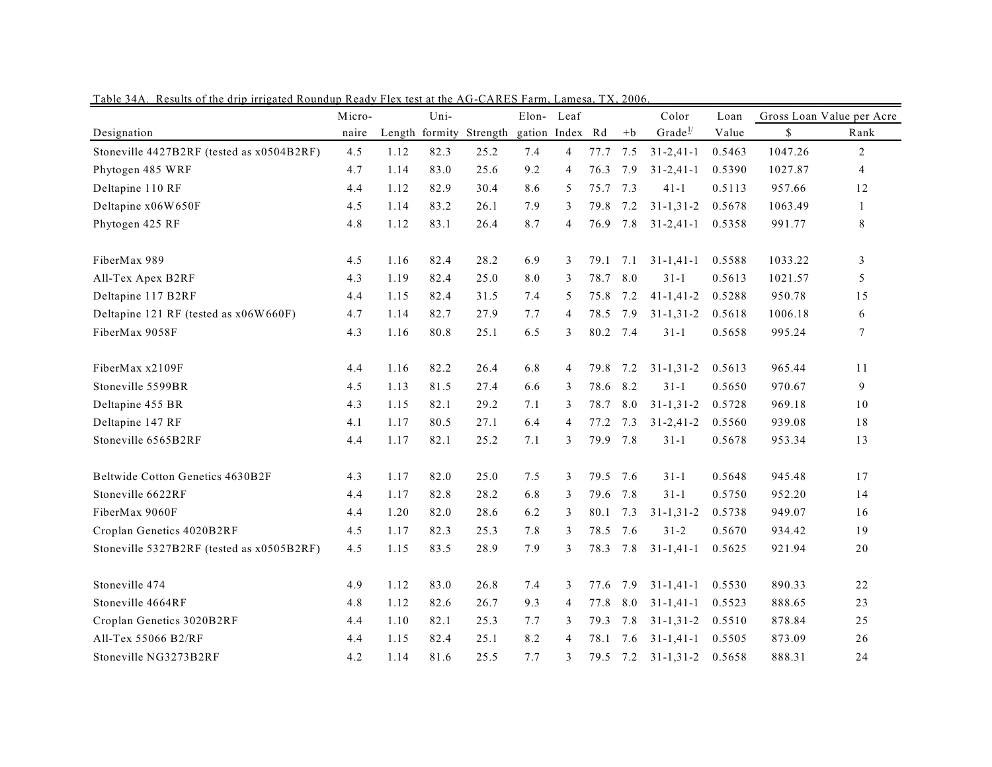|                                           | Uni-<br>Micro- |      | Elon-          | Leaf                     |     |                | Color    | Loan |                     | Gross Loan Value per Acre |         |                |
|-------------------------------------------|----------------|------|----------------|--------------------------|-----|----------------|----------|------|---------------------|---------------------------|---------|----------------|
| Designation                               | naire          |      | Length formity | Strength gation Index Rd |     |                |          | $+b$ | Grade $\frac{1}{2}$ | Value                     | \$      | Rank           |
| Stoneville 4427B2RF (tested as x0504B2RF) | 4.5            | 1.12 | 82.3           | 25.2                     | 7.4 | 4              | 77.7 7.5 |      | $31 - 2,41 - 1$     | 0.5463                    | 1047.26 | $\overline{2}$ |
| Phytogen 485 WRF                          | 4.7            | 1.14 | 83.0           | 25.6                     | 9.2 | 4              | 76.3     | 7.9  | $31 - 2,41 - 1$     | 0.5390                    | 1027.87 | 4              |
| Deltapine 110 RF                          | 4.4            | 1.12 | 82.9           | 30.4                     | 8.6 | 5              | 75.7     | 7.3  | $41-1$              | 0.5113                    | 957.66  | 12             |
| Deltapine x06W650F                        | 4.5            | 1.14 | 83.2           | 26.1                     | 7.9 | 3              | 79.8     | 7.2  | $31 - 1, 31 - 2$    | 0.5678                    | 1063.49 | $\mathbf{1}$   |
| Phytogen 425 RF                           | 4.8            | 1.12 | 83.1           | 26.4                     | 8.7 | 4              | 76.9     | 7.8  | $31 - 2,41 - 1$     | 0.5358                    | 991.77  | 8              |
| FiberMax 989                              | 4.5            | 1.16 | 82.4           | 28.2                     | 6.9 | 3              | 79.1     | 7.1  | $31 - 1, 41 - 1$    | 0.5588                    | 1033.22 | 3              |
| All-Tex Apex B2RF                         | 4.3            | 1.19 | 82.4           | 25.0                     | 8.0 | 3              | 78.7     | 8.0  | $31 - 1$            | 0.5613                    | 1021.57 | 5              |
| Deltapine 117 B2RF                        | 4.4            | 1.15 | 82.4           | 31.5                     | 7.4 | 5              | 75.8     | 7.2  | $41 - 1, 41 - 2$    | 0.5288                    | 950.78  | 15             |
| Deltapine 121 RF (tested as x06W660F)     | 4.7            | 1.14 | 82.7           | 27.9                     | 7.7 | 4              | 78.5     | 7.9  | $31 - 1, 31 - 2$    | 0.5618                    | 1006.18 | 6              |
| FiberMax 9058F                            | 4.3            | 1.16 | 80.8           | 25.1                     | 6.5 | 3              | 80.2 7.4 |      | $31 - 1$            | 0.5658                    | 995.24  | $\tau$         |
| FiberMax x2109F                           | 4.4            | 1.16 | 82.2           | 26.4                     | 6.8 | 4              | 79.8     | 7.2  | $31 - 1, 31 - 2$    | 0.5613                    | 965.44  | 11             |
| Stoneville 5599BR                         | 4.5            | 1.13 | 81.5           | 27.4                     | 6.6 | 3              | 78.6     | 8.2  | $31-1$              | 0.5650                    | 970.67  | 9              |
| Deltapine 455 BR                          | 4.3            | 1.15 | 82.1           | 29.2                     | 7.1 | 3              | 78.7     | 8.0  | $31 - 1, 31 - 2$    | 0.5728                    | 969.18  | 10             |
| Deltapine 147 RF                          | 4.1            | 1.17 | 80.5           | 27.1                     | 6.4 | 4              | 77.2     | 7.3  | $31 - 2,41 - 2$     | 0.5560                    | 939.08  | 18             |
| Stoneville 6565B2RF                       | 4.4            | 1.17 | 82.1           | 25.2                     | 7.1 | 3              | 79.9     | 7.8  | $31 - 1$            | 0.5678                    | 953.34  | 13             |
| Beltwide Cotton Genetics 4630B2F          | 4.3            | 1.17 | 82.0           | 25.0                     | 7.5 | 3              | 79.5     | 7.6  | $31-1$              | 0.5648                    | 945.48  | 17             |
| Stoneville 6622RF                         | 4.4            | 1.17 | 82.8           | 28.2                     | 6.8 | 3              | 79.6     | 7.8  | $31 - 1$            | 0.5750                    | 952.20  | 14             |
| FiberMax 9060F                            | 4.4            | 1.20 | 82.0           | 28.6                     | 6.2 | 3              | 80.1     | 7.3  | $31 - 1, 31 - 2$    | 0.5738                    | 949.07  | 16             |
| Croplan Genetics 4020B2RF                 | 4.5            | 1.17 | 82.3           | 25.3                     | 7.8 | 3              | 78.5     | 7.6  | $31 - 2$            | 0.5670                    | 934.42  | 19             |
| Stoneville 5327B2RF (tested as x0505B2RF) | 4.5            | 1.15 | 83.5           | 28.9                     | 7.9 | 3              |          |      | 78.3 7.8 31-1,41-1  | 0.5625                    | 921.94  | $20\,$         |
| Stoneville 474                            | 4.9            | 1.12 | 83.0           | 26.8                     | 7.4 | 3              | 77.6     | 7.9  | $31 - 1,41 - 1$     | 0.5530                    | 890.33  | 22             |
| Stoneville 4664RF                         | 4.8            | 1.12 | 82.6           | 26.7                     | 9.3 | $\overline{4}$ | 77.8     | 8.0  | $31 - 1, 41 - 1$    | 0.5523                    | 888.65  | 23             |
| Croplan Genetics 3020B2RF                 | 4.4            | 1.10 | 82.1           | 25.3                     | 7.7 | 3              | 79.3     | 7.8  | $31 - 1, 31 - 2$    | 0.5510                    | 878.84  | 25             |
| All-Tex 55066 B2/RF                       | 4.4            | 1.15 | 82.4           | 25.1                     | 8.2 | 4              | 78.1     | 7.6  | $31 - 1, 41 - 1$    | 0.5505                    | 873.09  | 26             |
| Stoneville NG3273B2RF                     | 4.2            | 1.14 | 81.6           | 25.5                     | 7.7 | 3              | 79.5     | 7.2  | $31 - 1, 31 - 2$    | 0.5658                    | 888.31  | 24             |

Table 34A. Results of the drip irrigated Roundup Ready Flex test at the AG-CARES Farm, Lamesa, TX, 2006.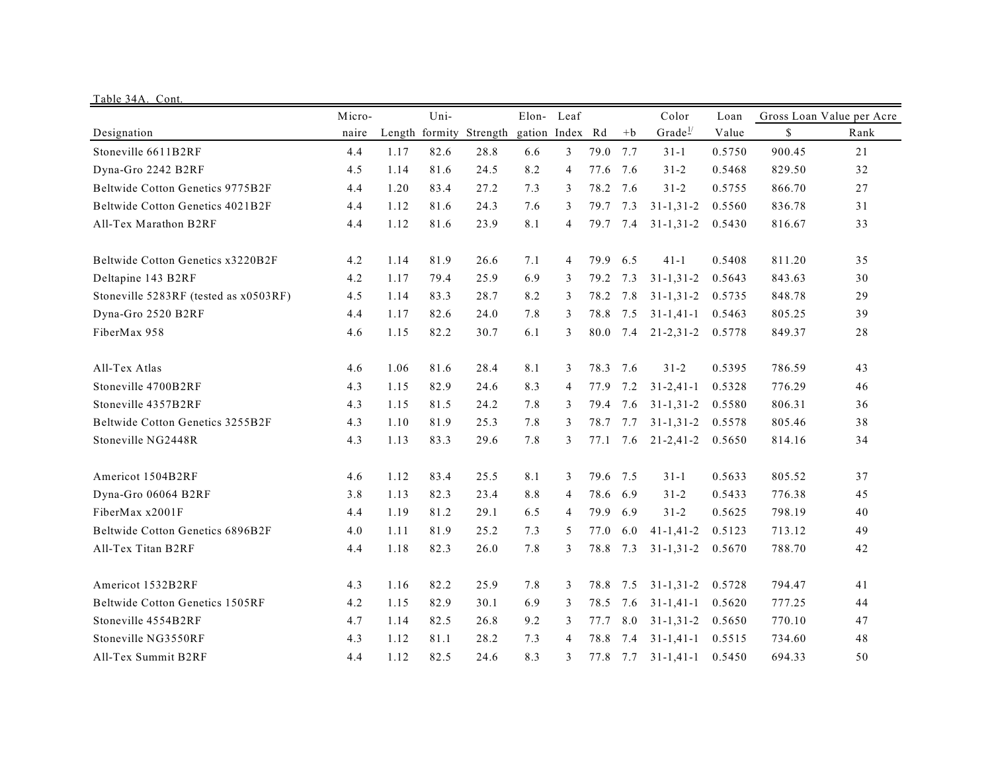| Table 34A. Cont.                      |        |      |      |                         |                 |                |          |      |                     |        |        |                           |
|---------------------------------------|--------|------|------|-------------------------|-----------------|----------------|----------|------|---------------------|--------|--------|---------------------------|
|                                       | Micro- |      | Uni- |                         |                 | Elon- Leaf     |          |      | Color               | Loan   |        | Gross Loan Value per Acre |
| Designation                           | naire  |      |      | Length formity Strength | gation Index Rd |                |          | $+b$ | Grade $\frac{1}{2}$ | Value  | \$     | Rank                      |
| Stoneville 6611B2RF                   | 4.4    | 1.17 | 82.6 | 28.8                    | 6.6             | 3              | 79.0     | 7.7  | $31-1$              | 0.5750 | 900.45 | 21                        |
| Dyna-Gro 2242 B2RF                    | 4.5    | 1.14 | 81.6 | 24.5                    | 8.2             | $\overline{4}$ | 77.6     | 7.6  | $31 - 2$            | 0.5468 | 829.50 | 32                        |
| Beltwide Cotton Genetics 9775B2F      | 4.4    | 1.20 | 83.4 | 27.2                    | 7.3             | 3              | 78.2     | 7.6  | $31 - 2$            | 0.5755 | 866.70 | 27                        |
| Beltwide Cotton Genetics 4021B2F      | 4.4    | 1.12 | 81.6 | 24.3                    | 7.6             | 3              | 79.7     | 7.3  | $31 - 1, 31 - 2$    | 0.5560 | 836.78 | 31                        |
| All-Tex Marathon B2RF                 | 4.4    | 1.12 | 81.6 | 23.9                    | 8.1             | $\overline{4}$ | 79.7 7.4 |      | $31 - 1, 31 - 2$    | 0.5430 | 816.67 | 33                        |
| Beltwide Cotton Genetics x3220B2F     | 4.2    | 1.14 | 81.9 | 26.6                    | 7.1             | 4              | 79.9     | 6.5  | $41 - 1$            | 0.5408 | 811.20 | 35                        |
| Deltapine 143 B2RF                    | 4.2    | 1.17 | 79.4 | 25.9                    | 6.9             | 3              | 79.2     | 7.3  | $31 - 1, 31 - 2$    | 0.5643 | 843.63 | 30                        |
| Stoneville 5283RF (tested as x0503RF) | 4.5    | 1.14 | 83.3 | 28.7                    | 8.2             | 3              | 78.2     | 7.8  | $31 - 1, 31 - 2$    | 0.5735 | 848.78 | 29                        |
| Dyna-Gro 2520 B2RF                    | 4.4    | 1.17 | 82.6 | 24.0                    | 7.8             | 3              | 78.8     | 7.5  | $31 - 1, 41 - 1$    | 0.5463 | 805.25 | 39                        |
| FiberMax 958                          | 4.6    | 1.15 | 82.2 | 30.7                    | 6.1             | 3              | 80.0     | 7.4  | $21 - 2, 31 - 2$    | 0.5778 | 849.37 | 28                        |
| All-Tex Atlas                         | 4.6    | 1.06 | 81.6 | 28.4                    | 8.1             | 3              | 78.3     | 7.6  | $31 - 2$            | 0.5395 | 786.59 | 43                        |
| Stoneville 4700B2RF                   | 4.3    | 1.15 | 82.9 | 24.6                    | 8.3             | 4              | 77.9     | 7.2  | $31 - 2,41 - 1$     | 0.5328 | 776.29 | 46                        |
| Stoneville 4357B2RF                   | 4.3    | 1.15 | 81.5 | 24.2                    | 7.8             | 3              | 79.4     | 7.6  | $31 - 1, 31 - 2$    | 0.5580 | 806.31 | 36                        |
| Beltwide Cotton Genetics 3255B2F      | 4.3    | 1.10 | 81.9 | 25.3                    | 7.8             | 3              | 78.7     | 7.7  | $31 - 1, 31 - 2$    | 0.5578 | 805.46 | 38                        |
| Stoneville NG2448R                    | 4.3    | 1.13 | 83.3 | 29.6                    | 7.8             | 3              | 77.1     | 7.6  | $21 - 2,41 - 2$     | 0.5650 | 814.16 | 34                        |
| Americot 1504B2RF                     | 4.6    | 1.12 | 83.4 | 25.5                    | 8.1             | 3              | 79.6 7.5 |      | $31 - 1$            | 0.5633 | 805.52 | 37                        |
| Dyna-Gro 06064 B2RF                   | 3.8    | 1.13 | 82.3 | 23.4                    | 8.8             | 4              | 78.6     | 6.9  | $31 - 2$            | 0.5433 | 776.38 | 45                        |
| FiberMax x2001F                       | 4.4    | 1.19 | 81.2 | 29.1                    | 6.5             | $\overline{4}$ | 79.9     | 6.9  | $31 - 2$            | 0.5625 | 798.19 | 40                        |
| Beltwide Cotton Genetics 6896B2F      | 4.0    | 1.11 | 81.9 | 25.2                    | 7.3             | 5              | 77.0     | 6.0  | $41 - 1, 41 - 2$    | 0.5123 | 713.12 | 49                        |
| All-Tex Titan B2RF                    | 4.4    | 1.18 | 82.3 | 26.0                    | 7.8             | 3              | 78.8     | 7.3  | $31 - 1, 31 - 2$    | 0.5670 | 788.70 | 42                        |
| Americot 1532B2RF                     | 4.3    | 1.16 | 82.2 | 25.9                    | 7.8             | 3              | 78.8     | 7.5  | $31 - 1, 31 - 2$    | 0.5728 | 794.47 | 41                        |
| Beltwide Cotton Genetics 1505RF       | 4.2    | 1.15 | 82.9 | 30.1                    | 6.9             | 3              | 78.5     | 7.6  | $31 - 1, 41 - 1$    | 0.5620 | 777.25 | 44                        |
| Stoneville 4554B2RF                   | 4.7    | 1.14 | 82.5 | 26.8                    | 9.2             | 3              | 77.7     | 8.0  | $31 - 1, 31 - 2$    | 0.5650 | 770.10 | 47                        |
| Stoneville NG3550RF                   | 4.3    | 1.12 | 81.1 | 28.2                    | 7.3             | 4              | 78.8     | 7.4  | $31 - 1, 41 - 1$    | 0.5515 | 734.60 | 48                        |
| All-Tex Summit B2RF                   | 4.4    | 1.12 | 82.5 | 24.6                    | 8.3             | 3              | 77.8     | 7.7  | $31 - 1, 41 - 1$    | 0.5450 | 694.33 | 50                        |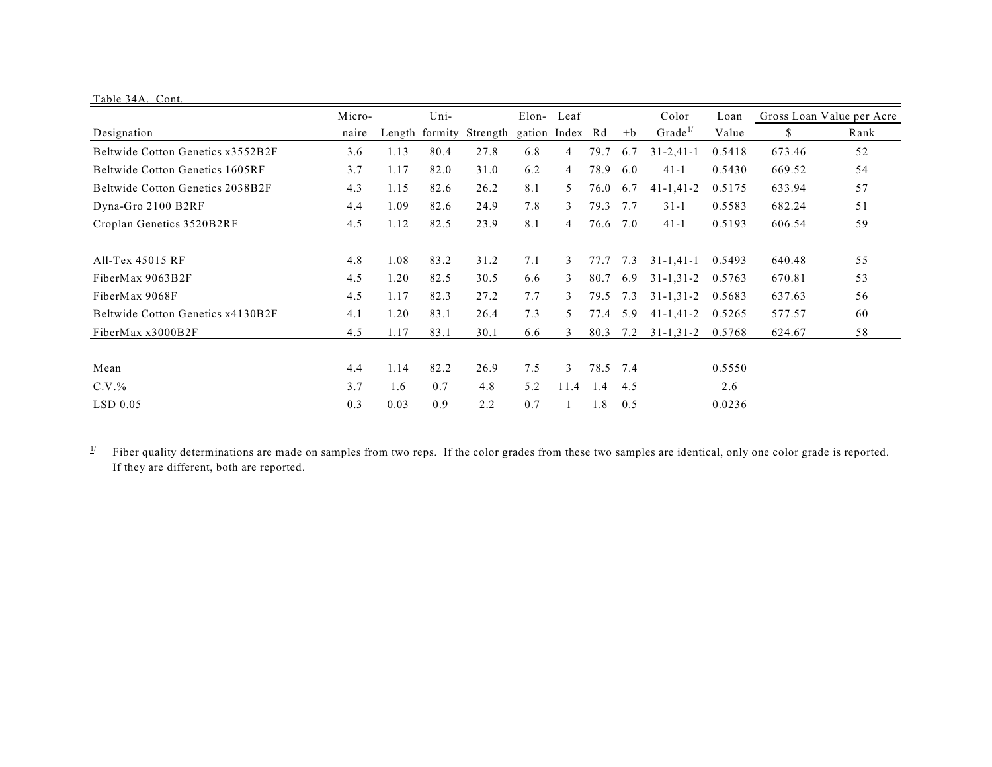| Table 34A. Cont.                  |        |      |      |                                         |            |      |      |      |                     |        |                           |      |
|-----------------------------------|--------|------|------|-----------------------------------------|------------|------|------|------|---------------------|--------|---------------------------|------|
|                                   | Micro- |      |      |                                         | Elon- Leaf |      |      |      | Color               | Loan   | Gross Loan Value per Acre |      |
| Designation                       | naire  |      |      | Length formity Strength gation Index Rd |            |      |      | $+b$ | Grade $\frac{1}{2}$ | Value  | \$                        | Rank |
| Beltwide Cotton Genetics x3552B2F | 3.6    | 1.13 | 80.4 | 27.8                                    | 6.8        | 4    | 79.7 | 6.7  | $31 - 2,41 - 1$     | 0.5418 | 673.46                    | 52   |
| Beltwide Cotton Genetics 1605RF   | 3.7    | 1.17 | 82.0 | 31.0                                    | 6.2        | 4    | 78.9 | 6.0  | $41 - 1$            | 0.5430 | 669.52                    | 54   |
| Beltwide Cotton Genetics 2038B2F  | 4.3    | 1.15 | 82.6 | 26.2                                    | 8.1        | 5.   | 76.0 | 6.7  | $41 - 1, 41 - 2$    | 0.5175 | 633.94                    | 57   |
| Dyna-Gro 2100 B2RF                | 4.4    | 1.09 | 82.6 | 24.9                                    | 7.8        | 3    | 79.3 | 7.7  | $31 - 1$            | 0.5583 | 682.24                    | 51   |
| Croplan Genetics 3520B2RF         | 4.5    | 1.12 | 82.5 | 23.9                                    | 8.1        | 4    | 76.6 | 7.0  | $41-1$              | 0.5193 | 606.54                    | 59   |
| All-Tex 45015 RF                  | 4.8    | 1.08 | 83.2 | 31.2                                    | 7.1        | 3    | 77.7 | 7.3  | $31 - 1, 41 - 1$    | 0.5493 | 640.48                    | 55   |
| FiberMax 9063B2F                  | 4.5    | 1.20 | 82.5 | 30.5                                    | 6.6        | 3    | 80.7 | 6.9  | $31 - 1, 31 - 2$    | 0.5763 | 670.81                    | 53   |
| FiberMax 9068F                    | 4.5    | 1.17 | 82.3 | 27.2                                    | 7.7        | 3    | 79.5 | 7.3  | $31 - 1, 31 - 2$    | 0.5683 | 637.63                    | 56   |
| Beltwide Cotton Genetics x4130B2F | 4.1    | 1.20 | 83.1 | 26.4                                    | 7.3        | 5.   | 77.4 | 5.9  | $41 - 1, 41 - 2$    | 0.5265 | 577.57                    | 60   |
| FiberMax x3000B2F                 | 4.5    | 1.17 | 83.1 | 30.1                                    | 6.6        | 3    | 80.3 | 7.2  | $31 - 1, 31 - 2$    | 0.5768 | 624.67                    | 58   |
| Mean                              | 4.4    | 1.14 | 82.2 | 26.9                                    | 7.5        | 3    | 78.5 | 7.4  |                     | 0.5550 |                           |      |
|                                   | 3.7    | 1.6  | 0.7  | 4.8                                     | 5.2        | 11.4 | 1.4  | 4.5  |                     | 2.6    |                           |      |
| $C.V.$ %                          |        |      |      |                                         |            |      |      |      |                     |        |                           |      |
| $LSD$ 0.05                        | 0.3    | 0.03 | 0.9  | 2.2                                     | 0.7        |      | 1.8  | 0.5  |                     | 0.0236 |                           |      |

 $\frac{1}{2}$  Fiber quality determinations are made on samples from two reps. If the color grades from these two samples are identical, only one color grade is reported. If they are different, both are reported.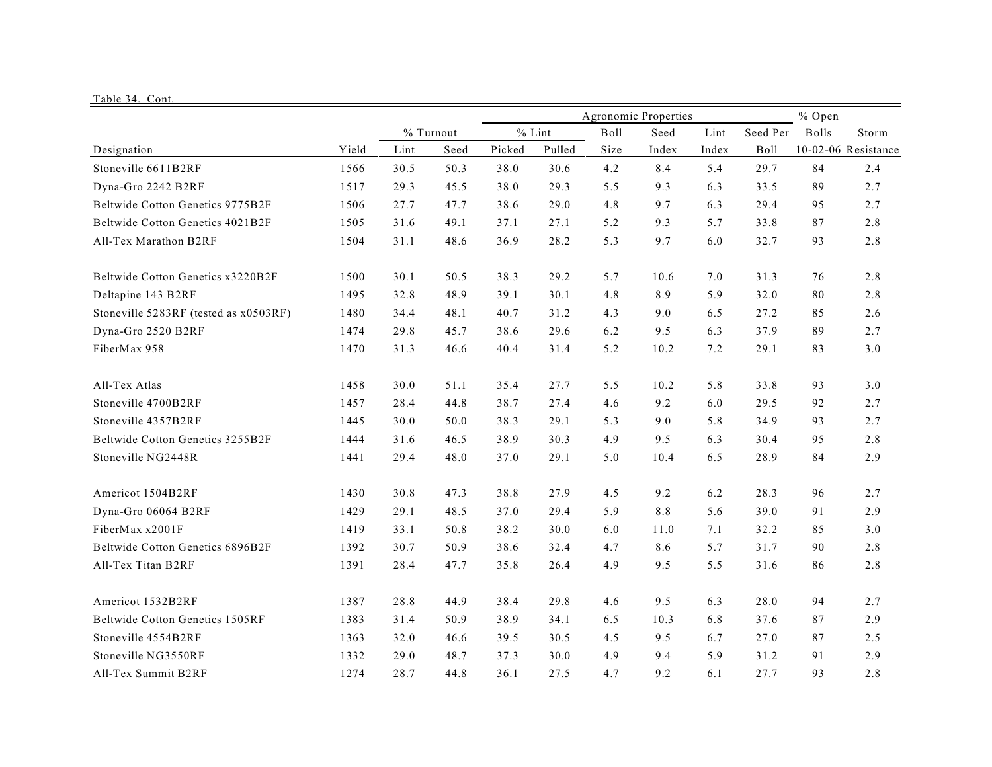| Table 34. Cont                         |       |      |                      |        |          |             |       |       |          |       |                     |
|----------------------------------------|-------|------|----------------------|--------|----------|-------------|-------|-------|----------|-------|---------------------|
|                                        |       |      | Agronomic Properties |        |          |             |       |       |          |       |                     |
|                                        |       |      | % Turnout            |        | $%$ Lint | <b>Boll</b> | Seed  | Lint  | Seed Per | Bolls | Storm               |
| Designation                            | Yield | Lint | Seed                 | Picked | Pulled   | Size        | Index | Index | Boll     |       | 10-02-06 Resistance |
| Stoneville 6611B2RF                    | 1566  | 30.5 | 50.3                 | 38.0   | 30.6     | 4.2         | 8.4   | 5.4   | 29.7     | 84    | 2.4                 |
| Dyna-Gro 2242 B2RF                     | 1517  | 29.3 | 45.5                 | 38.0   | 29.3     | 5.5         | 9.3   | 6.3   | 33.5     | 89    | 2.7                 |
| Beltwide Cotton Genetics 9775B2F       | 1506  | 27.7 | 47.7                 | 38.6   | 29.0     | 4.8         | 9.7   | 6.3   | 29.4     | 95    | 2.7                 |
| Beltwide Cotton Genetics 4021B2F       | 1505  | 31.6 | 49.1                 | 37.1   | 27.1     | 5.2         | 9.3   | 5.7   | 33.8     | 87    | 2.8                 |
| All-Tex Marathon B2RF                  | 1504  | 31.1 | 48.6                 | 36.9   | 28.2     | 5.3         | 9.7   | 6.0   | 32.7     | 93    | 2.8                 |
| Beltwide Cotton Genetics x3220B2F      | 1500  | 30.1 | 50.5                 | 38.3   | 29.2     | 5.7         | 10.6  | 7.0   | 31.3     | 76    | 2.8                 |
| Deltapine 143 B2RF                     | 1495  | 32.8 | 48.9                 | 39.1   | 30.1     | 4.8         | 8.9   | 5.9   | 32.0     | 80    | 2.8                 |
| Stoneville 5283RF (tested as x0503RF)  | 1480  | 34.4 | 48.1                 | 40.7   | 31.2     | 4.3         | 9.0   | 6.5   | 27.2     | 85    | 2.6                 |
| Dyna-Gro 2520 B2RF                     | 1474  | 29.8 | 45.7                 | 38.6   | 29.6     | 6.2         | 9.5   | 6.3   | 37.9     | 89    | 2.7                 |
| FiberMax 958                           | 1470  | 31.3 | 46.6                 | 40.4   | 31.4     | 5.2         | 10.2  | 7.2   | 29.1     | 83    | 3.0                 |
| All-Tex Atlas                          | 1458  | 30.0 | 51.1                 | 35.4   | 27.7     | 5.5         | 10.2  | 5.8   | 33.8     | 93    | 3.0                 |
| Stoneville 4700B2RF                    | 1457  | 28.4 | 44.8                 | 38.7   | 27.4     | 4.6         | 9.2   | 6.0   | 29.5     | 92    | 2.7                 |
| Stoneville 4357B2RF                    | 1445  | 30.0 | 50.0                 | 38.3   | 29.1     | 5.3         | 9.0   | 5.8   | 34.9     | 93    | 2.7                 |
| Beltwide Cotton Genetics 3255B2F       | 1444  | 31.6 | 46.5                 | 38.9   | 30.3     | 4.9         | 9.5   | 6.3   | 30.4     | 95    | 2.8                 |
| Stoneville NG2448R                     | 1441  | 29.4 | 48.0                 | 37.0   | 29.1     | 5.0         | 10.4  | 6.5   | 28.9     | 84    | 2.9                 |
| Americot 1504B2RF                      | 1430  | 30.8 | 47.3                 | 38.8   | 27.9     | 4.5         | 9.2   | 6.2   | 28.3     | 96    | 2.7                 |
| Dyna-Gro 06064 B2RF                    | 1429  | 29.1 | 48.5                 | 37.0   | 29.4     | 5.9         | 8.8   | 5.6   | 39.0     | 91    | 2.9                 |
| FiberMax x2001F                        | 1419  | 33.1 | 50.8                 | 38.2   | 30.0     | 6.0         | 11.0  | 7.1   | 32.2     | 85    | 3.0                 |
| Beltwide Cotton Genetics 6896B2F       | 1392  | 30.7 | 50.9                 | 38.6   | 32.4     | 4.7         | 8.6   | 5.7   | 31.7     | 90    | 2.8                 |
| All-Tex Titan B2RF                     | 1391  | 28.4 | 47.7                 | 35.8   | 26.4     | 4.9         | 9.5   | 5.5   | 31.6     | 86    | 2.8                 |
| Americot 1532B2RF                      | 1387  | 28.8 | 44.9                 | 38.4   | 29.8     | 4.6         | 9.5   | 6.3   | 28.0     | 94    | 2.7                 |
| <b>Beltwide Cotton Genetics 1505RF</b> | 1383  | 31.4 | 50.9                 | 38.9   | 34.1     | 6.5         | 10.3  | 6.8   | 37.6     | 87    | 2.9                 |
| Stoneville 4554B2RF                    | 1363  | 32.0 | 46.6                 | 39.5   | 30.5     | 4.5         | 9.5   | 6.7   | 27.0     | 87    | 2.5                 |
| Stoneville NG3550RF                    | 1332  | 29.0 | 48.7                 | 37.3   | 30.0     | 4.9         | 9.4   | 5.9   | 31.2     | 91    | 2.9                 |
| All-Tex Summit B2RF                    | 1274  | 28.7 | 44.8                 | 36.1   | 27.5     | 4.7         | 9.2   | 6.1   | 27.7     | 93    | 2.8                 |